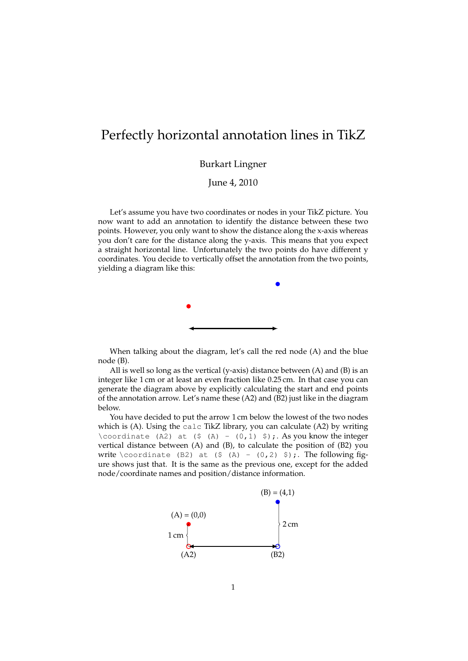## Perfectly horizontal annotation lines in TikZ

Burkart Lingner

June 4, 2010

Let's assume you have two coordinates or nodes in your TikZ picture. You now want to add an annotation to identify the distance between these two points. However, you only want to show the distance along the x-axis whereas you don't care for the distance along the y-axis. This means that you expect a straight horizontal line. Unfortunately the two points do have different y coordinates. You decide to vertically offset the annotation from the two points, yielding a diagram like this:



When talking about the diagram, let's call the red node (A) and the blue node (B).

All is well so long as the vertical (y-axis) distance between (A) and (B) is an integer like 1 cm or at least an even fraction like 0.25 cm. In that case you can generate the diagram above by explicitly calculating the start and end points of the annotation arrow. Let's name these (A2) and (B2) just like in the diagram below.

You have decided to put the arrow 1 cm below the lowest of the two nodes which is (A). Using the calc TikZ library, you can calculate (A2) by writing \coordinate (A2) at (\$ (A) -  $(0,1)$  \$);. As you know the integer vertical distance between (A) and (B), to calculate the position of (B2) you write \coordinate (B2) at (\$ (A) -  $(0,2)$  \$);. The following figure shows just that. It is the same as the previous one, except for the added node/coordinate names and position/distance information.

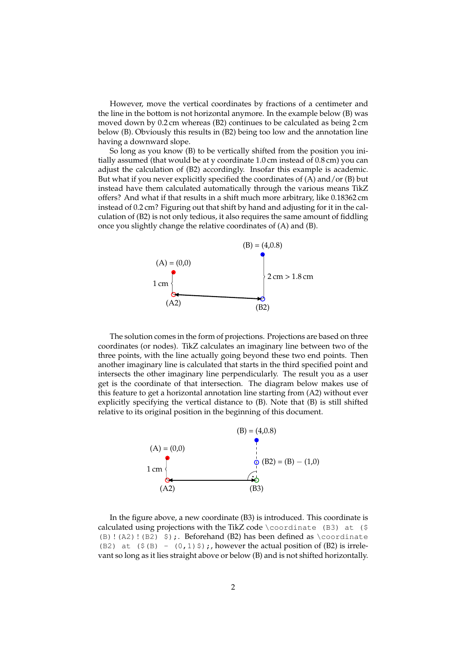However, move the vertical coordinates by fractions of a centimeter and the line in the bottom is not horizontal anymore. In the example below (B) was moved down by 0.2 cm whereas (B2) continues to be calculated as being 2 cm below (B). Obviously this results in (B2) being too low and the annotation line having a downward slope.

So long as you know (B) to be vertically shifted from the position you initially assumed (that would be at y coordinate 1.0 cm instead of 0.8 cm) you can adjust the calculation of (B2) accordingly. Insofar this example is academic. But what if you never explicitly specified the coordinates of (A) and/or (B) but instead have them calculated automatically through the various means TikZ offers? And what if that results in a shift much more arbitrary, like 0.18362 cm instead of 0.2 cm? Figuring out that shift by hand and adjusting for it in the calculation of (B2) is not only tedious, it also requires the same amount of fiddling once you slightly change the relative coordinates of (A) and (B).



The solution comes in the form of projections. Projections are based on three coordinates (or nodes). TikZ calculates an imaginary line between two of the three points, with the line actually going beyond these two end points. Then another imaginary line is calculated that starts in the third specified point and intersects the other imaginary line perpendicularly. The result you as a user get is the coordinate of that intersection. The diagram below makes use of this feature to get a horizontal annotation line starting from (A2) without ever explicitly specifying the vertical distance to (B). Note that (B) is still shifted relative to its original position in the beginning of this document.



In the figure above, a new coordinate (B3) is introduced. This coordinate is calculated using projections with the TikZ code \coordinate (B3) at (\$ (B) ! (A2) ! (B2)  $\$ );. Beforehand (B2) has been defined as \coordinate (B2) at  $(\frac{1}{2}$  (B) -  $(0, 1)$  \$);, however the actual position of (B2) is irrelevant so long as it lies straight above or below (B) and is not shifted horizontally.